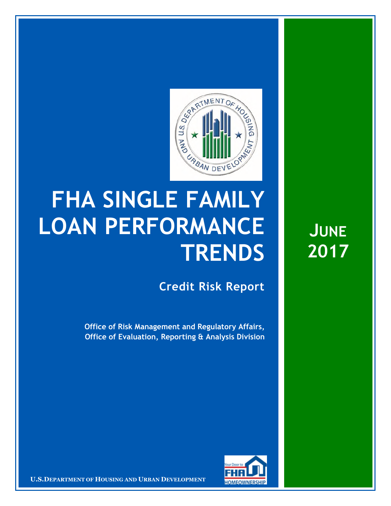

## **FHA SINGLE FAMILY LOAN PERFORMANCE TRENDS**

**Credit Risk Report**

**Office of Risk Management and Regulatory Affairs, Office of Evaluation, Reporting & Analysis Division** 



16 March 20171 **Confidential| For Internal Use Only** 1 **U.S.DEPARTMENT OF HOUSING AND URBAN DEVELOPMENT**

**JUNE 2017**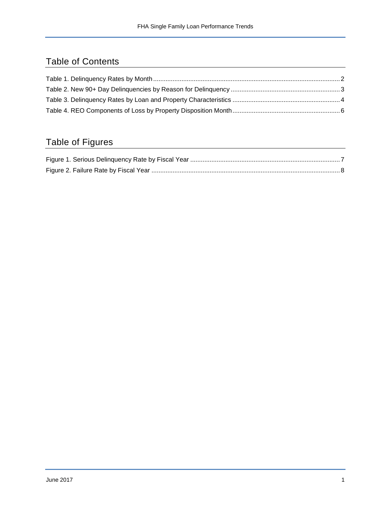## Table of Contents

## Table of Figures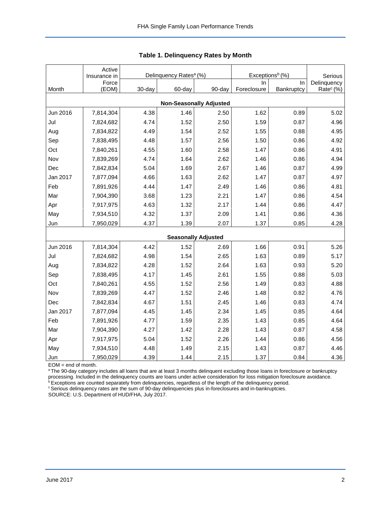|                                | Active                | Delinquency Rates <sup>a</sup> (%) |        |                            | Exceptions <sup>b</sup> (%) |            |                        |  |  |  |  |  |
|--------------------------------|-----------------------|------------------------------------|--------|----------------------------|-----------------------------|------------|------------------------|--|--|--|--|--|
|                                | Insurance in<br>Force |                                    |        |                            | In.                         | In         | Serious<br>Delinquency |  |  |  |  |  |
| Month                          | (EOM)                 | 30-day                             | 60-day | 90-day                     | Foreclosure                 | Bankruptcy | Rate <sup>c</sup> (%)  |  |  |  |  |  |
| <b>Non-Seasonally Adjusted</b> |                       |                                    |        |                            |                             |            |                        |  |  |  |  |  |
| Jun 2016                       | 7,814,304             | 4.38                               | 1.46   | 2.50                       | 1.62                        | 0.89       | 5.02                   |  |  |  |  |  |
| Jul                            | 7,824,682             | 4.74                               | 1.52   | 2.50                       | 1.59                        | 0.87       | 4.96                   |  |  |  |  |  |
| Aug                            | 7,834,822             | 4.49                               | 1.54   | 2.52                       | 1.55                        | 0.88       | 4.95                   |  |  |  |  |  |
| Sep                            | 7,838,495             | 4.48                               | 1.57   | 2.56                       | 1.50                        | 0.86       | 4.92                   |  |  |  |  |  |
| Oct                            | 7,840,261             | 4.55                               | 1.60   | 2.58                       | 1.47                        | 0.86       | 4.91                   |  |  |  |  |  |
| Nov                            | 7,839,269             | 4.74                               | 1.64   | 2.62                       | 1.46                        | 0.86       | 4.94                   |  |  |  |  |  |
| Dec                            | 7,842,834             | 5.04                               | 1.69   | 2.67                       | 1.46                        | 0.87       | 4.99                   |  |  |  |  |  |
| Jan 2017                       | 7,877,094             | 4.66                               | 1.63   | 2.62                       | 1.47                        | 0.87       | 4.97                   |  |  |  |  |  |
| Feb                            | 7,891,926             | 4.44                               | 1.47   | 2.49                       | 1.46                        | 0.86       | 4.81                   |  |  |  |  |  |
| Mar                            | 7,904,390             | 3.68                               | 1.23   | 2.21                       | 1.47                        | 0.86       | 4.54                   |  |  |  |  |  |
| Apr                            | 7,917,975             | 4.63                               | 1.32   | 2.17                       | 1.44                        | 0.86       | 4.47                   |  |  |  |  |  |
| May                            | 7,934,510             | 4.32                               | 1.37   | 2.09                       | 1.41                        | 0.86       | 4.36                   |  |  |  |  |  |
| Jun                            | 7,950,029             | 4.37                               | 1.39   | 2.07                       | 1.37                        | 0.85       | 4.28                   |  |  |  |  |  |
|                                |                       |                                    |        | <b>Seasonally Adjusted</b> |                             |            |                        |  |  |  |  |  |
| Jun 2016                       | 7,814,304             | 4.42                               | 1.52   | 2.69                       | 1.66                        | 0.91       | 5.26                   |  |  |  |  |  |
| Jul                            | 7,824,682             | 4.98                               | 1.54   | 2.65                       | 1.63                        | 0.89       | 5.17                   |  |  |  |  |  |
| Aug                            | 7,834,822             | 4.28                               | 1.52   | 2.64                       | 1.63                        | 0.93       | 5.20                   |  |  |  |  |  |
| Sep                            | 7,838,495             | 4.17                               | 1.45   | 2.61                       | 1.55                        | 0.88       | 5.03                   |  |  |  |  |  |
| Oct                            | 7,840,261             | 4.55                               | 1.52   | 2.56                       | 1.49                        | 0.83       | 4.88                   |  |  |  |  |  |
| Nov                            | 7,839,269             | 4.47                               | 1.52   | 2.46                       | 1.48                        | 0.82       | 4.76                   |  |  |  |  |  |
| Dec                            | 7,842,834             | 4.67                               | 1.51   | 2.45                       | 1.46                        | 0.83       | 4.74                   |  |  |  |  |  |
| Jan 2017                       | 7,877,094             | 4.45                               | 1.45   | 2.34                       | 1.45                        | 0.85       | 4.64                   |  |  |  |  |  |
| Feb                            | 7,891,926             | 4.77                               | 1.59   | 2.35                       | 1.43                        | 0.85       | 4.64                   |  |  |  |  |  |
| Mar                            | 7,904,390             | 4.27                               | 1.42   | 2.28                       | 1.43                        | 0.87       | 4.58                   |  |  |  |  |  |
| Apr                            | 7,917,975             | 5.04                               | 1.52   | 2.26                       | 1.44                        | 0.86       | 4.56                   |  |  |  |  |  |
| May                            | 7,934,510             | 4.48                               | 1.49   | 2.15                       | 1.43                        | 0.87       | 4.46                   |  |  |  |  |  |
| Jun                            | 7,950,029             | 4.39                               | 1.44   | 2.15                       | 1.37                        | 0.84       | 4.36                   |  |  |  |  |  |

<span id="page-2-0"></span>

EOM = end of month.

<sup>a</sup>The 90-day category includes all loans that are at least 3 months delinquent excluding those loans in foreclosure or bankruptcy processing. Included in the delinquency counts are loans under active consideration for loss mitigation foreclosure avoidance.

<sup>b</sup> Exceptions are counted separately from delinquencies, regardless of the length of the delinquency period.

<sup>c</sup> Serious delinquency rates are the sum of 90-day delinquencies plus in-foreclosures and in-bankruptcies.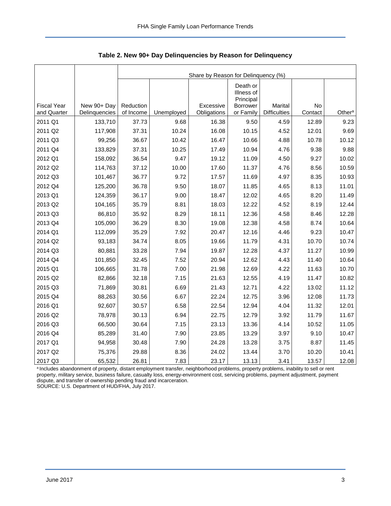<span id="page-3-0"></span>

|                    |               | Share by Reason for Delinquency (%) |            |             |                                                        |                     |         |                    |  |  |  |  |
|--------------------|---------------|-------------------------------------|------------|-------------|--------------------------------------------------------|---------------------|---------|--------------------|--|--|--|--|
| <b>Fiscal Year</b> | New 90+ Day   | Reduction                           |            | Excessive   | Death or<br>Illness of<br>Principal<br><b>Borrower</b> | Marital             | No      |                    |  |  |  |  |
| and Quarter        | Delinquencies | of Income                           | Unemployed | Obligations | or Family                                              | <b>Difficulties</b> | Contact | Other <sup>a</sup> |  |  |  |  |
| 2011 Q1            | 133,710       | 37.73                               | 9.68       | 16.38       | 9.50                                                   | 4.59                | 12.89   | 9.23               |  |  |  |  |
| 2011 Q2            | 117,908       | 37.31                               | 10.24      | 16.08       | 10.15                                                  | 4.52                | 12.01   | 9.69               |  |  |  |  |
| 2011 Q3            | 99,256        | 36.67                               | 10.42      | 16.47       | 10.66                                                  | 4.88                | 10.78   | 10.12              |  |  |  |  |
| 2011 Q4            | 133,829       | 37.31                               | 10.25      | 17.49       | 10.94                                                  | 4.76                | 9.38    | 9.88               |  |  |  |  |
| 2012 Q1            | 158,092       | 36.54                               | 9.47       | 19.12       | 11.09                                                  | 4.50                | 9.27    | 10.02              |  |  |  |  |
| 2012 Q2            | 114,763       | 37.12                               | 10.00      | 17.60       | 11.37                                                  | 4.76                | 8.56    | 10.59              |  |  |  |  |
| 2012 Q3            | 101,467       | 36.77                               | 9.72       | 17.57       | 11.69                                                  | 4.97                | 8.35    | 10.93              |  |  |  |  |
| 2012 Q4            | 125,200       | 36.78                               | 9.50       | 18.07       | 11.85                                                  | 4.65                | 8.13    | 11.01              |  |  |  |  |
| 2013 Q1            | 124,359       | 36.17                               | 9.00       | 18.47       | 12.02                                                  | 4.65                | 8.20    | 11.49              |  |  |  |  |
| 2013 Q2            | 104,165       | 35.79                               | 8.81       | 18.03       | 12.22                                                  | 4.52                | 8.19    | 12.44              |  |  |  |  |
| 2013 Q3            | 86,810        | 35.92                               | 8.29       | 18.11       | 12.36                                                  | 4.58                | 8.46    | 12.28              |  |  |  |  |
| 2013 Q4            | 105,090       | 36.29                               | 8.30       | 19.08       | 12.38                                                  | 4.58                | 8.74    | 10.64              |  |  |  |  |
| 2014 Q1            | 112,099       | 35.29                               | 7.92       | 20.47       | 12.16                                                  | 4.46                | 9.23    | 10.47              |  |  |  |  |
| 2014 Q2            | 93,183        | 34.74                               | 8.05       | 19.66       | 11.79                                                  | 4.31                | 10.70   | 10.74              |  |  |  |  |
| 2014 Q3            | 80,881        | 33.28                               | 7.94       | 19.87       | 12.28                                                  | 4.37                | 11.27   | 10.99              |  |  |  |  |
| 2014 Q4            | 101,850       | 32.45                               | 7.52       | 20.94       | 12.62                                                  | 4.43                | 11.40   | 10.64              |  |  |  |  |
| 2015 Q1            | 106,665       | 31.78                               | 7.00       | 21.98       | 12.69                                                  | 4.22                | 11.63   | 10.70              |  |  |  |  |
| 2015 Q2            | 82,866        | 32.18                               | 7.15       | 21.63       | 12.55                                                  | 4.19                | 11.47   | 10.82              |  |  |  |  |
| 2015 Q3            | 71,869        | 30.81                               | 6.69       | 21.43       | 12.71                                                  | 4.22                | 13.02   | 11.12              |  |  |  |  |
| 2015 Q4            | 88,263        | 30.56                               | 6.67       | 22.24       | 12.75                                                  | 3.96                | 12.08   | 11.73              |  |  |  |  |
| 2016 Q1            | 92,607        | 30.57                               | 6.58       | 22.54       | 12.94                                                  | 4.04                | 11.32   | 12.01              |  |  |  |  |
| 2016 Q2            | 78,978        | 30.13                               | 6.94       | 22.75       | 12.79                                                  | 3.92                | 11.79   | 11.67              |  |  |  |  |
| 2016 Q3            | 66,500        | 30.64                               | 7.15       | 23.13       | 13.36                                                  | 4.14                | 10.52   | 11.05              |  |  |  |  |
| 2016 Q4            | 85,289        | 31.40                               | 7.90       | 23.85       | 13.29                                                  | 3.97                | 9.10    | 10.47              |  |  |  |  |
| 2017 Q1            | 94,958        | 30.48                               | 7.90       | 24.28       | 13.28                                                  | 3.75                | 8.87    | 11.45              |  |  |  |  |
| 2017 Q2            | 75,376        | 29.88                               | 8.36       | 24.02       | 13.44                                                  | 3.70                | 10.20   | 10.41              |  |  |  |  |
| 2017 Q3            | 65,532        | 26.81                               | 7.83       | 23.17       | 13.13                                                  | 3.41                | 13.57   | 12.08              |  |  |  |  |

<span id="page-3-1"></span>**Table 2. New 90+ Day Delinquencies by Reason for Delinquency** 

a Includes abandonment of property, distant employment transfer, neighborhood problems, property problems, inability to sell or rent property, military service, business failure, casualty loss, energy-environment cost, servicing problems, payment adjustment, payment dispute, and transfer of ownership pending fraud and incarceration. SOURCE: U.S. Department of HUD/FHA, July 2017.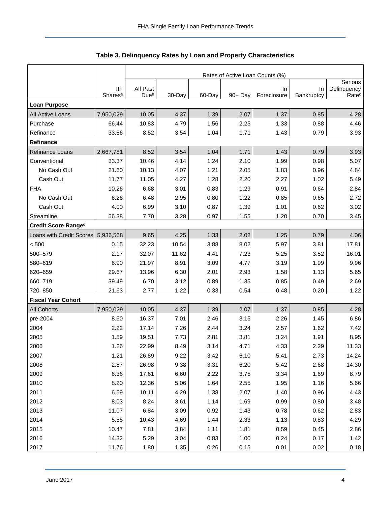<span id="page-4-0"></span>

|                           |                                   | Rates of Active Loan Counts (%) |        |        |            |                    |                  |                                  |  |  |  |
|---------------------------|-----------------------------------|---------------------------------|--------|--------|------------|--------------------|------------------|----------------------------------|--|--|--|
|                           |                                   |                                 |        |        |            |                    |                  | Serious                          |  |  |  |
|                           | <b>IIF</b><br>Shares <sup>a</sup> | All Past<br>Dueb                | 30-Day | 60-Day | $90 + Day$ | In.<br>Foreclosure | In<br>Bankruptcy | Delinquency<br>Rate <sup>c</sup> |  |  |  |
| <b>Loan Purpose</b>       |                                   |                                 |        |        |            |                    |                  |                                  |  |  |  |
|                           | 7,950,029                         | 10.05                           | 4.37   | 1.39   | 2.07       | 1.37               | 0.85             | 4.28                             |  |  |  |
| All Active Loans          |                                   |                                 |        |        |            |                    |                  |                                  |  |  |  |
| Purchase                  | 66.44                             | 10.83                           | 4.79   | 1.56   | 2.25       | 1.33               | 0.88             | 4.46                             |  |  |  |
| Refinance                 | 33.56                             | 8.52                            | 3.54   | 1.04   | 1.71       | 1.43               | 0.79             | 3.93                             |  |  |  |
| <b>Refinance</b>          |                                   |                                 |        |        |            |                    |                  |                                  |  |  |  |
| Refinance Loans           | 2,667,781                         | 8.52                            | 3.54   | 1.04   | 1.71       | 1.43               | 0.79             | 3.93                             |  |  |  |
| Conventional              | 33.37                             | 10.46                           | 4.14   | 1.24   | 2.10       | 1.99               | 0.98             | 5.07                             |  |  |  |
| No Cash Out               | 21.60                             | 10.13                           | 4.07   | 1.21   | 2.05       | 1.83               | 0.96             | 4.84                             |  |  |  |
| Cash Out                  | 11.77                             | 11.05                           | 4.27   | 1.28   | 2.20       | 2.27               | 1.02             | 5.49                             |  |  |  |
| <b>FHA</b>                | 10.26                             | 6.68                            | 3.01   | 0.83   | 1.29       | 0.91               | 0.64             | 2.84                             |  |  |  |
| No Cash Out               | 6.26                              | 6.48                            | 2.95   | 0.80   | 1.22       | 0.85               | 0.65             | 2.72                             |  |  |  |
| Cash Out                  | 4.00                              | 6.99                            | 3.10   | 0.87   | 1.39       | 1.01               | 0.62             | 3.02                             |  |  |  |
| Streamline                | 56.38                             | 7.70                            | 3.28   | 0.97   | 1.55       | 1.20               | 0.70             | 3.45                             |  |  |  |
| Credit Score Ranged       |                                   |                                 |        |        |            |                    |                  |                                  |  |  |  |
| Loans with Credit Scores  | 5,936,568                         | 9.65                            | 4.25   | 1.33   | 2.02       | 1.25               | 0.79             | 4.06                             |  |  |  |
| < 500                     | 0.15                              | 32.23                           | 10.54  | 3.88   | 8.02       | 5.97               | 3.81             | 17.81                            |  |  |  |
| 500-579                   | 2.17                              | 32.07                           | 11.62  | 4.41   | 7.23       | 5.25               | 3.52             | 16.01                            |  |  |  |
| 580-619                   | 6.90                              | 21.97                           | 8.91   | 3.09   | 4.77       | 3.19               | 1.99             | 9.96                             |  |  |  |
| 620-659                   | 29.67                             | 13.96                           | 6.30   | 2.01   | 2.93       | 1.58               | 1.13             | 5.65                             |  |  |  |
| 660-719                   | 39.49                             | 6.70                            | 3.12   | 0.89   | 1.35       | 0.85               | 0.49             | 2.69                             |  |  |  |
| 720-850                   | 21.63                             | 2.77                            | 1.22   | 0.33   | 0.54       | 0.48               | 0.20             | 1.22                             |  |  |  |
| <b>Fiscal Year Cohort</b> |                                   |                                 |        |        |            |                    |                  |                                  |  |  |  |
| <b>All Cohorts</b>        | 7,950,029                         | 10.05                           | 4.37   | 1.39   | 2.07       | 1.37               | 0.85             | 4.28                             |  |  |  |
| pre-2004                  | 8.50                              | 16.37                           | 7.01   | 2.46   | 3.15       | 2.26               | 1.45             | 6.86                             |  |  |  |
| 2004                      | 2.22                              | 17.14                           | 7.26   | 2.44   | 3.24       | 2.57               | 1.62             | 7.42                             |  |  |  |
| 2005                      | 1.59                              | 19.51                           | 7.73   | 2.81   | 3.81       | 3.24               | 1.91             | 8.95                             |  |  |  |
| 2006                      | 1.26                              | 22.99                           | 8.49   | 3.14   | 4.71       | 4.33               | 2.29             | 11.33                            |  |  |  |
| 2007                      | 1.21                              | 26.89                           | 9.22   | 3.42   | 6.10       | 5.41               | 2.73             | 14.24                            |  |  |  |
| 2008                      | 2.87                              | 26.98                           | 9.38   | 3.31   | 6.20       | 5.42               | 2.68             | 14.30                            |  |  |  |
| 2009                      | 6.36                              | 17.61                           | 6.60   | 2.22   | 3.75       | 3.34               | 1.69             | 8.79                             |  |  |  |
| 2010                      | 8.20                              | 12.36                           | 5.06   | 1.64   | 2.55       | 1.95               | 1.16             | 5.66                             |  |  |  |
| 2011                      | 6.59                              | 10.11                           | 4.29   | 1.38   | 2.07       | 1.40               | 0.96             | 4.43                             |  |  |  |
| 2012                      | 8.03                              | 8.24                            | 3.61   | 1.14   | 1.69       | 0.99               | 0.80             | 3.48                             |  |  |  |
| 2013                      | 11.07                             | 6.84                            | 3.09   | 0.92   | 1.43       | 0.78               | 0.62             | 2.83                             |  |  |  |
| 2014                      | 5.55                              | 10.43                           | 4.69   | 1.44   | 2.33       | 1.13               | 0.83             | 4.29                             |  |  |  |
| 2015                      | 10.47                             | 7.81                            | 3.84   | 1.11   | 1.81       | 0.59               | 0.45             | 2.86                             |  |  |  |
| 2016                      | 14.32                             | 5.29                            | 3.04   | 0.83   | 1.00       | 0.24               | 0.17             | 1.42                             |  |  |  |
| 2017                      | 11.76                             | 1.80                            | 1.35   | 0.26   | 0.15       | 0.01               | 0.02             | 0.18                             |  |  |  |

<span id="page-4-1"></span>

|  |  | Table 3. Delinquency Rates by Loan and Property Characteristics |
|--|--|-----------------------------------------------------------------|
|--|--|-----------------------------------------------------------------|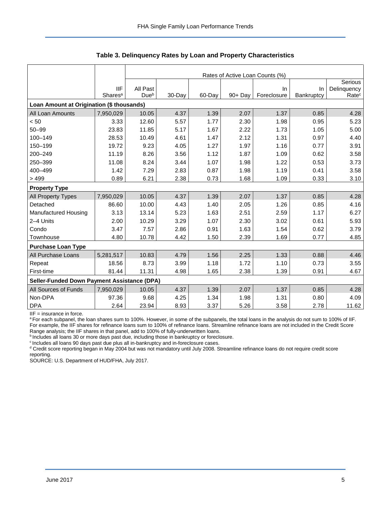|                                                    |                     | Rates of Active Loan Counts (%) |        |        |            |             |            |                   |  |  |  |
|----------------------------------------------------|---------------------|---------------------------------|--------|--------|------------|-------------|------------|-------------------|--|--|--|
|                                                    |                     |                                 |        |        |            |             |            | Serious           |  |  |  |
|                                                    | <b>IIF</b>          | All Past                        |        |        |            | In.         | In.        | Delinquency       |  |  |  |
|                                                    | Shares <sup>a</sup> | Due <sup>b</sup>                | 30-Day | 60-Day | $90 + Day$ | Foreclosure | Bankruptcy | Rate <sup>c</sup> |  |  |  |
| Loan Amount at Origination (\$ thousands)          |                     |                                 |        |        |            |             |            |                   |  |  |  |
| All Loan Amounts                                   | 7,950,029           | 10.05                           | 4.37   | 1.39   | 2.07       | 1.37        | 0.85       | 4.28              |  |  |  |
| < 50                                               | 3.33                | 12.60                           | 5.57   | 1.77   | 2.30       | 1.98        | 0.95       | 5.23              |  |  |  |
| $50 - 99$                                          | 23.83               | 11.85                           | 5.17   | 1.67   | 2.22       | 1.73        | 1.05       | 5.00              |  |  |  |
| 100-149                                            | 28.53               | 10.49                           | 4.61   | 1.47   | 2.12       | 1.31        | 0.97       | 4.40              |  |  |  |
| 150-199                                            | 19.72               | 9.23                            | 4.05   | 1.27   | 1.97       | 1.16        | 0.77       | 3.91              |  |  |  |
| 200-249                                            | 11.19               | 8.26                            | 3.56   | 1.12   | 1.87       | 1.09        | 0.62       | 3.58              |  |  |  |
| 250-399                                            | 11.08               | 8.24                            | 3.44   | 1.07   | 1.98       | 1.22        | 0.53       | 3.73              |  |  |  |
| 400-499                                            | 1.42                | 7.29                            | 2.83   | 0.87   | 1.98       | 1.19        | 0.41       | 3.58              |  |  |  |
| >499                                               | 0.89                | 6.21                            | 2.38   | 0.73   | 1.68       | 1.09        | 0.33       | 3.10              |  |  |  |
| <b>Property Type</b>                               |                     |                                 |        |        |            |             |            |                   |  |  |  |
| All Property Types                                 | 7,950,029           | 10.05                           | 4.37   | 1.39   | 2.07       | 1.37        | 0.85       | 4.28              |  |  |  |
| Detached                                           | 86.60               | 10.00                           | 4.43   | 1.40   | 2.05       | 1.26        | 0.85       | 4.16              |  |  |  |
| Manufactured Housing                               | 3.13                | 13.14                           | 5.23   | 1.63   | 2.51       | 2.59        | 1.17       | 6.27              |  |  |  |
| 2-4 Units                                          | 2.00                | 10.29                           | 3.29   | 1.07   | 2.30       | 3.02        | 0.61       | 5.93              |  |  |  |
| Condo                                              | 3.47                | 7.57                            | 2.86   | 0.91   | 1.63       | 1.54        | 0.62       | 3.79              |  |  |  |
| Townhouse                                          | 4.80                | 10.78                           | 4.42   | 1.50   | 2.39       | 1.69        | 0.77       | 4.85              |  |  |  |
| <b>Purchase Loan Type</b>                          |                     |                                 |        |        |            |             |            |                   |  |  |  |
| All Purchase Loans                                 | 5,281,517           | 10.83                           | 4.79   | 1.56   | 2.25       | 1.33        | 0.88       | 4.46              |  |  |  |
| Repeat                                             | 18.56               | 8.73                            | 3.99   | 1.18   | 1.72       | 1.10        | 0.73       | 3.55              |  |  |  |
| First-time                                         | 81.44               | 11.31                           | 4.98   | 1.65   | 2.38       | 1.39        | 0.91       | 4.67              |  |  |  |
| <b>Seller-Funded Down Payment Assistance (DPA)</b> |                     |                                 |        |        |            |             |            |                   |  |  |  |
| All Sources of Funds                               | 7,950,029           | 10.05                           | 4.37   | 1.39   | 2.07       | 1.37        | 0.85       | 4.28              |  |  |  |
| Non-DPA                                            | 97.36               | 9.68                            | 4.25   | 1.34   | 1.98       | 1.31        | 0.80       | 4.09              |  |  |  |
| <b>DPA</b>                                         | 2.64                | 23.94                           | 8.93   | 3.37   | 5.26       | 3.58        | 2.78       | 11.62             |  |  |  |

**Table 3. Delinquency Rates by Loan and Property Characteristics** 

IIF = insurance in force.

<sup>a</sup> For each subpanel, the loan shares sum to 100%. However, in some of the subpanels, the total loans in the analysis do not sum to 100% of IIF. For example, the IIF shares for refinance loans sum to 100% of refinance loans. Streamline refinance loans are not included in the Credit Score Range analysis; the IIF shares in that panel, add to 100% of fully-underwritten loans.

b Includes all loans 30 or more days past due, including those in bankruptcy or foreclosure.

<sup>c</sup> Includes all loans 90 days past due plus all in-bankruptcy and in-foreclosure cases.

<sup>d</sup> Credit score reporting began in May 2004 but was not mandatory until July 2008. Streamline refinance loans do not require credit score reporting.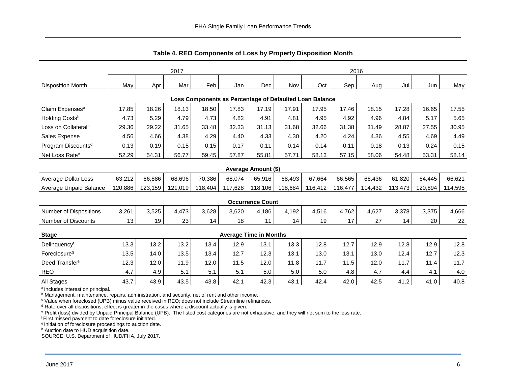<span id="page-6-0"></span>

|                                                         | 2017    |         |         |         |         | 2016                          |         |         |         |         |         |         |         |
|---------------------------------------------------------|---------|---------|---------|---------|---------|-------------------------------|---------|---------|---------|---------|---------|---------|---------|
| <b>Disposition Month</b>                                | May     | Apr     | Mar     | Feb     | Jan     | <b>Dec</b>                    | Nov     | Oct     | Sep     | Aug     | Jul     | Jun     | May     |
| Loss Components as Percentage of Defaulted Loan Balance |         |         |         |         |         |                               |         |         |         |         |         |         |         |
| Claim Expenses <sup>a</sup>                             | 17.85   | 18.26   | 18.13   | 18.50   | 17.83   | 17.19                         | 17.91   | 17.95   | 17.46   | 18.15   | 17.28   | 16.65   | 17.55   |
| Holding Costsb                                          | 4.73    | 5.29    | 4.79    | 4.73    | 4.82    | 4.91                          | 4.81    | 4.95    | 4.92    | 4.96    | 4.84    | 5.17    | 5.65    |
| Loss on Collateral <sup>c</sup>                         | 29.36   | 29.22   | 31.65   | 33.48   | 32.33   | 31.13                         | 31.68   | 32.66   | 31.38   | 31.49   | 28.87   | 27.55   | 30.95   |
| Sales Expense                                           | 4.56    | 4.66    | 4.38    | 4.29    | 4.40    | 4.33                          | 4.30    | 4.20    | 4.24    | 4.36    | 4.55    | 4.69    | 4.49    |
| Program Discounts <sup>d</sup>                          | 0.13    | 0.19    | 0.15    | 0.15    | 0.17    | 0.11                          | 0.14    | 0.14    | 0.11    | 0.18    | 0.13    | 0.24    | 0.15    |
| Net Loss Rate <sup>e</sup>                              | 52.29   | 54.31   | 56.77   | 59.45   | 57.87   | 55.81                         | 57.71   | 58.13   | 57.15   | 58.06   | 54.48   | 53.31   | 58.14   |
|                                                         |         |         |         |         |         |                               |         |         |         |         |         |         |         |
|                                                         |         |         |         |         |         | <b>Average Amount (\$)</b>    |         |         |         |         |         |         |         |
| Average Dollar Loss                                     | 63,212  | 66,886  | 68,696  | 70,386  | 68,074  | 65,916                        | 68,493  | 67,664  | 66,565  | 66,436  | 61,820  | 64,445  | 66,621  |
| Average Unpaid Balance                                  | 120,886 | 123,159 | 121,019 | 118,404 | 117,628 | 118,106                       | 118,684 | 116,412 | 116,477 | 114,432 | 113,473 | 120,894 | 114,595 |
|                                                         |         |         |         |         |         | <b>Occurrence Count</b>       |         |         |         |         |         |         |         |
| Number of Dispositions                                  | 3,261   | 3,525   | 4,473   | 3,628   | 3,620   | 4,186                         | 4,192   | 4,516   | 4,762   | 4,627   | 3,378   | 3,375   | 4,666   |
| Number of Discounts                                     | 13      | 19      | 23      | 14      | 18      | 11                            | 14      | 19      | 17      | 27      | 14      | 20      | 22      |
|                                                         |         |         |         |         |         | <b>Average Time in Months</b> |         |         |         |         |         |         |         |
| <b>Stage</b>                                            |         |         |         |         |         |                               |         |         |         |         |         |         |         |
| Delinquencyf                                            | 13.3    | 13.2    | 13.2    | 13.4    | 12.9    | 13.1                          | 13.3    | 12.8    | 12.7    | 12.9    | 12.8    | 12.9    | 12.8    |
| Foreclosure <sup>g</sup>                                | 13.5    | 14.0    | 13.5    | 13.4    | 12.7    | 12.3                          | 13.1    | 13.0    | 13.1    | 13.0    | 12.4    | 12.7    | 12.3    |
| Deed Transferh                                          | 12.3    | 12.0    | 11.9    | 12.0    | 11.5    | 12.0                          | 11.8    | 11.7    | 11.5    | 12.0    | 11.7    | 11.4    | 11.7    |
| <b>REO</b>                                              | 4.7     | 4.9     | 5.1     | 5.1     | 5.1     | 5.0                           | 5.0     | 5.0     | 4.8     | 4.7     | 4.4     | 4.1     | 4.0     |
| All Stages                                              | 43.7    | 43.9    | 43.5    | 43.8    | 42.1    | 42.3                          | 43.1    | 42.4    | 42.0    | 42.5    | 41.2    | 41.0    | 40.8    |

<span id="page-6-1"></span>**Table 4. REO Components of Loss by Property Disposition Month** 

<sup>a</sup> Includes interest on principal.

<sup>b</sup> Management, maintenance, repairs, administration, and security, net of rent and other income.

<sup>c</sup> Value when foreclosed (UPB) minus value received in REO; does not include Streamline refinances.

<sup>d</sup> Rate over all dispositions; effect is greater in the cases where a discount actually is given.

e Profit (loss) divided by Unpaid Principal Balance (UPB). The listed cost categories are not exhaustive, and they will not sum to the loss rate.

f First missed payment to date foreclosure initiated.

g Initiation of foreclosure proceedings to auction date.

h Auction date to HUD acquisition date.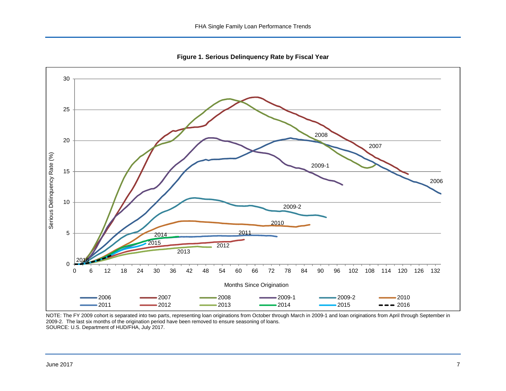<span id="page-7-0"></span>

<span id="page-7-1"></span>**Figure 1. Serious Delinquency Rate by Fiscal Year** 

NOTE: The FY 2009 cohort is separated into two parts, representing loan originations from October through March in 2009-1 and loan originations from April through September in 2009-2. The last six months of the origination period have been removed to ensure seasoning of loans. SOURCE: U.S. Department of HUD/FHA, July 2017.